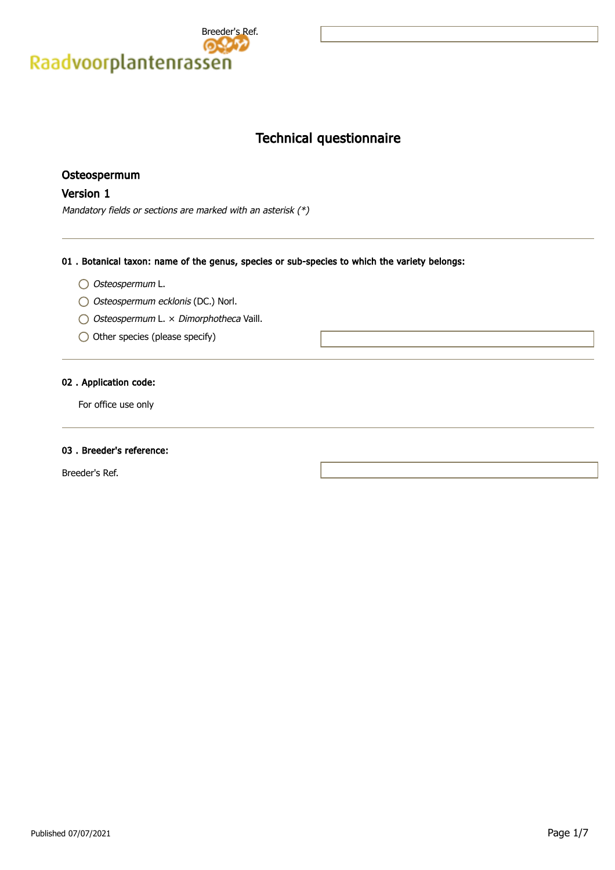

# Technical questionnaire

# Osteospermum

# Version 1

Mandatory fields or sections are marked with an asterisk (\*)

#### 01 . Botanical taxon: name of the genus, species or sub-species to which the variety belongs:

- O Osteospermum L.
- O Osteospermum ecklonis (DC.) Norl.
- O Osteospermum L. × Dimorphotheca Vaill.
- $\bigcirc$  Other species (please specify)

### 02 . Application code:

For office use only

#### 03 . Breeder's reference:

Breeder's Ref.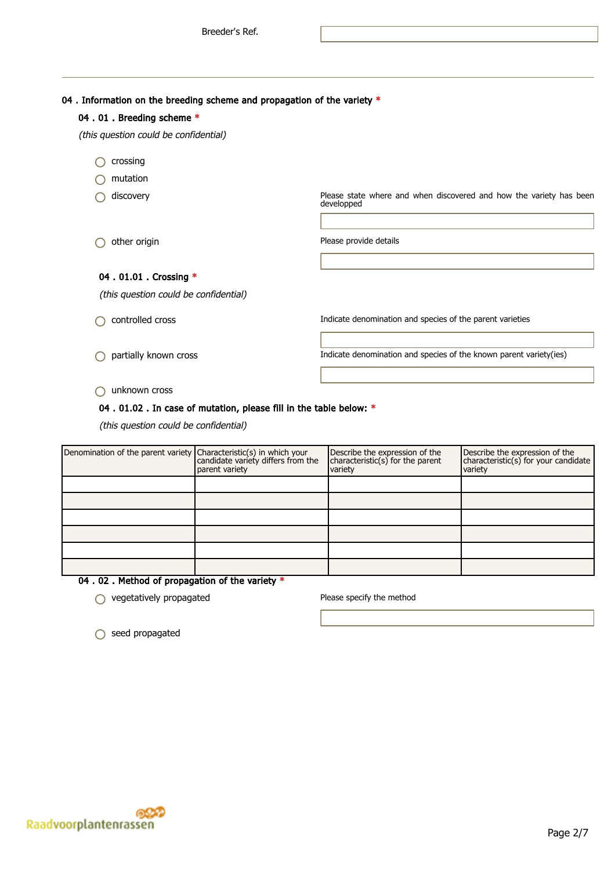04 . Information on the breeding scheme and propagation of the variety  $*$ 

| 04.01. Breeding scheme *              |                                                                                   |
|---------------------------------------|-----------------------------------------------------------------------------------|
| (this question could be confidential) |                                                                                   |
| crossing                              |                                                                                   |
| mutation                              |                                                                                   |
| discovery                             | Please state where and when discovered and how the variety has been<br>developped |
|                                       |                                                                                   |
| other origin                          | Please provide details                                                            |
|                                       |                                                                                   |
| 04 . 01.01 . Crossing *               |                                                                                   |
| (this question could be confidential) |                                                                                   |
| controlled cross                      | Indicate denomination and species of the parent varieties                         |
|                                       |                                                                                   |

partially known cross Indicate denomination and species of the known parent variety(ies)

unknown cross

#### 04 . 01.02 . In case of mutation, please fill in the table below: \*

(this question could be confidential)

| Denomination of the parent variety Characteristic(s) in which your<br>candidate variety differs from the | parent variety | Describe the expression of the<br>characteristic(s) for the parent<br>variety | Describe the expression of the<br>characteristic(s) for your candidate<br>variety |
|----------------------------------------------------------------------------------------------------------|----------------|-------------------------------------------------------------------------------|-----------------------------------------------------------------------------------|
|                                                                                                          |                |                                                                               |                                                                                   |
|                                                                                                          |                |                                                                               |                                                                                   |
|                                                                                                          |                |                                                                               |                                                                                   |
|                                                                                                          |                |                                                                               |                                                                                   |
|                                                                                                          |                |                                                                               |                                                                                   |
|                                                                                                          |                |                                                                               |                                                                                   |

04 . 02 . Method of propagation of the variety \*

 $\bigcirc$  vegetatively propagated  $\bigcirc$  Please specify the method

○ seed propagated

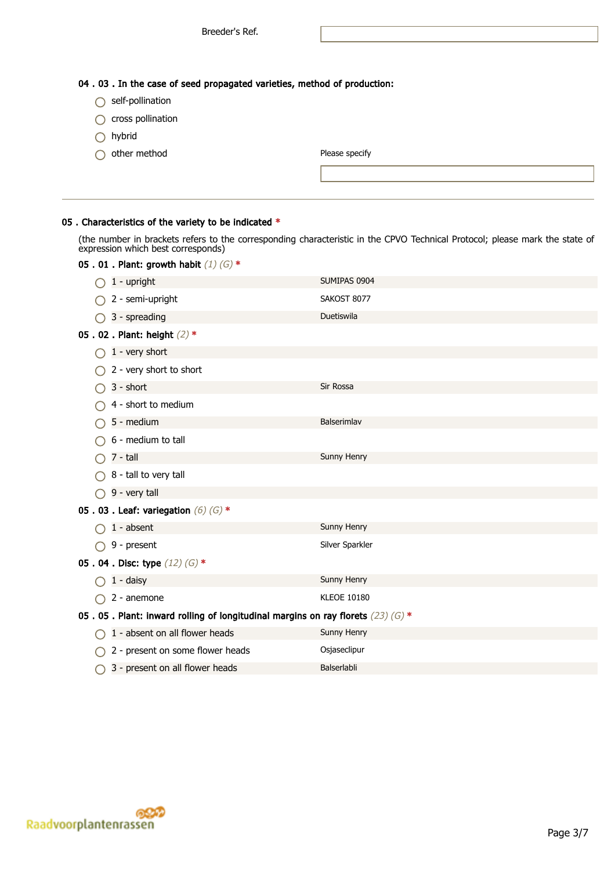04 . 03 . In the case of seed propagated varieties, method of production:

- $\bigcirc$  self-pollination
- $\bigcirc$  cross pollination
- hybrid
- $\bigcirc$  other method

#### 05 . Characteristics of the variety to be indicated \*

(the number in brackets refers to the corresponding characteristic in the CPVO Technical Protocol; please mark the state of expression which best corresponds)

|                                                                                  | 05.01. Plant: growth habit $(1)$ $(G)$ * |                    |  |  |  |
|----------------------------------------------------------------------------------|------------------------------------------|--------------------|--|--|--|
|                                                                                  | 1 - upright                              | SUMIPAS 0904       |  |  |  |
|                                                                                  | 2 - semi-upright                         | SAKOST 8077        |  |  |  |
|                                                                                  | 3 - spreading                            | Duetiswila         |  |  |  |
|                                                                                  | 05.02. Plant: height (2) *               |                    |  |  |  |
|                                                                                  | 1 - very short                           |                    |  |  |  |
|                                                                                  | 2 - very short to short                  |                    |  |  |  |
|                                                                                  | 3 - short                                | Sir Rossa          |  |  |  |
|                                                                                  | 4 - short to medium                      |                    |  |  |  |
|                                                                                  | 5 - medium                               | Balserimlav        |  |  |  |
|                                                                                  | 6 - medium to tall                       |                    |  |  |  |
|                                                                                  | 7 - tall                                 | Sunny Henry        |  |  |  |
|                                                                                  | 8 - tall to very tall                    |                    |  |  |  |
|                                                                                  | 9 - very tall                            |                    |  |  |  |
|                                                                                  | 05.03. Leaf: variegation $(6)$ $(6)$ *   |                    |  |  |  |
|                                                                                  | $1 - absent$                             | Sunny Henry        |  |  |  |
|                                                                                  | 9 - present                              | Silver Sparkler    |  |  |  |
| 05.04. Disc: type $(12)$ (G) *                                                   |                                          |                    |  |  |  |
|                                                                                  | 1 - daisy                                | Sunny Henry        |  |  |  |
|                                                                                  | 2 - anemone                              | <b>KLEOE 10180</b> |  |  |  |
| 05.05. Plant: inward rolling of longitudinal margins on ray florets $(23)$ (G) * |                                          |                    |  |  |  |
|                                                                                  | 1 - absent on all flower heads           | Sunny Henry        |  |  |  |
|                                                                                  | 2 - present on some flower heads         | Osjaseclipur       |  |  |  |
|                                                                                  | 3 - present on all flower heads          | Balserlabli        |  |  |  |

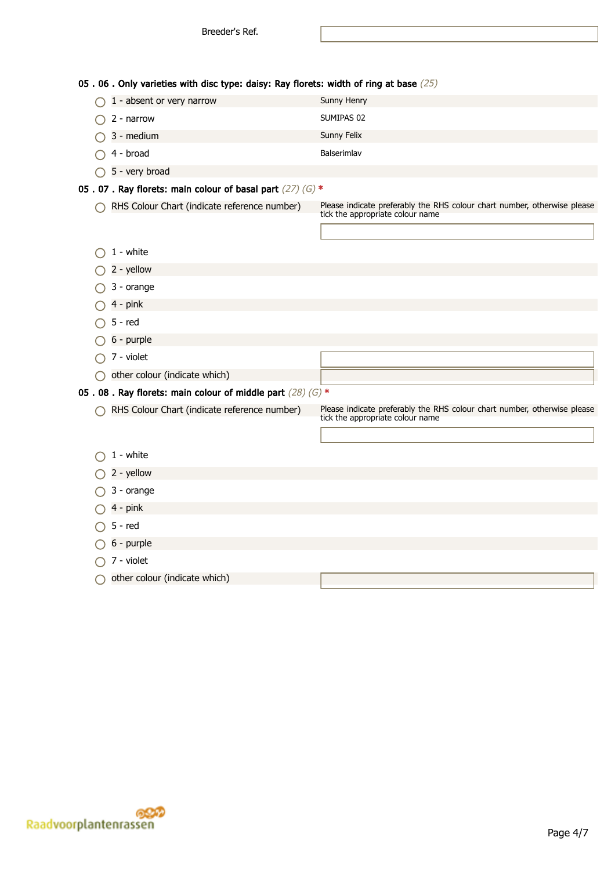05 . 06 . Only varieties with disc type: daisy: Ray florets: width of ring at base (25)

| $\bigcap$ 1 - absent or very narrow | Sunny Henry |
|-------------------------------------|-------------|
| $\bigcirc$ 2 - narrow               | SUMIPAS 02  |
| $\bigcap$ 3 - medium                | Sunny Felix |
| $\bigcap$ 4 - broad                 | Balserimlav |

# 05 . 07 . Ray florets: main colour of basal part  $(27)$  (G)  $*$

 $\bigcirc$  5 - very broad

RHS Colour Chart (indicate reference number) Please indicate preferably the RHS colour chart number, otherwise please tick the appropriate colour name

| $1 - white$                                                   |                                                                                                              |
|---------------------------------------------------------------|--------------------------------------------------------------------------------------------------------------|
| 2 - yellow                                                    |                                                                                                              |
| 3 - orange                                                    |                                                                                                              |
| $4 - pink$                                                    |                                                                                                              |
| $5 - red$                                                     |                                                                                                              |
| 6 - purple                                                    |                                                                                                              |
| 7 - violet                                                    |                                                                                                              |
| other colour (indicate which)                                 |                                                                                                              |
| 05.08. Ray florets: main colour of middle part $(28)$ (G) $*$ |                                                                                                              |
| RHS Colour Chart (indicate reference number)                  | Please indicate preferably the RHS colour chart number, otherwise please<br>tick the appropriate colour name |
|                                                               |                                                                                                              |
| 1 - white                                                     |                                                                                                              |
| 2 - yellow                                                    |                                                                                                              |
| 3 - orange                                                    |                                                                                                              |
| 4 - pink                                                      |                                                                                                              |
| $5 - red$                                                     |                                                                                                              |
| 6 - purple                                                    |                                                                                                              |
| 7 - violet                                                    |                                                                                                              |
| other colour (indicate which)                                 |                                                                                                              |

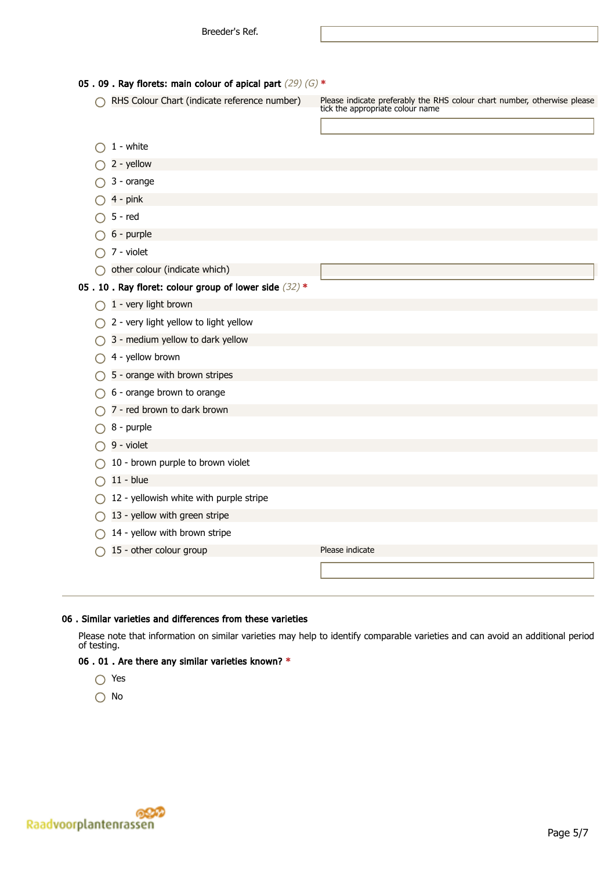| 05.09. Ray florets: main colour of apical part $(29)$ (G) * |                                                      |                                                                                                              |  |
|-------------------------------------------------------------|------------------------------------------------------|--------------------------------------------------------------------------------------------------------------|--|
|                                                             | RHS Colour Chart (indicate reference number)         | Please indicate preferably the RHS colour chart number, otherwise please<br>tick the appropriate colour name |  |
|                                                             | 1 - white                                            |                                                                                                              |  |
|                                                             | 2 - yellow                                           |                                                                                                              |  |
|                                                             | 3 - orange                                           |                                                                                                              |  |
|                                                             | $4 - pink$                                           |                                                                                                              |  |
|                                                             | $5 - red$                                            |                                                                                                              |  |
|                                                             | 6 - purple                                           |                                                                                                              |  |
|                                                             | 7 - violet                                           |                                                                                                              |  |
|                                                             | other colour (indicate which)                        |                                                                                                              |  |
|                                                             | 05.10. Ray floret: colour group of lower side (32) * |                                                                                                              |  |
|                                                             | 1 - very light brown                                 |                                                                                                              |  |
|                                                             | 2 - very light yellow to light yellow                |                                                                                                              |  |
|                                                             | 3 - medium yellow to dark yellow                     |                                                                                                              |  |
|                                                             | 4 - yellow brown                                     |                                                                                                              |  |
|                                                             | 5 - orange with brown stripes                        |                                                                                                              |  |
|                                                             | 6 - orange brown to orange                           |                                                                                                              |  |
|                                                             | 7 - red brown to dark brown                          |                                                                                                              |  |
|                                                             | 8 - purple                                           |                                                                                                              |  |
|                                                             | 9 - violet                                           |                                                                                                              |  |
|                                                             | 10 - brown purple to brown violet                    |                                                                                                              |  |
|                                                             | $11 - blue$                                          |                                                                                                              |  |
|                                                             | 12 - yellowish white with purple stripe              |                                                                                                              |  |
|                                                             | 13 - yellow with green stripe                        |                                                                                                              |  |
|                                                             | 14 - yellow with brown stripe                        |                                                                                                              |  |
|                                                             | 15 - other colour group                              | Please indicate                                                                                              |  |
|                                                             |                                                      |                                                                                                              |  |
|                                                             |                                                      |                                                                                                              |  |

#### 06 . Similar varieties and differences from these varieties

Please note that information on similar varieties may help to identify comparable varieties and can avoid an additional period of testing.

# 06 . 01 . Are there any similar varieties known? \*

- Yes
- O No

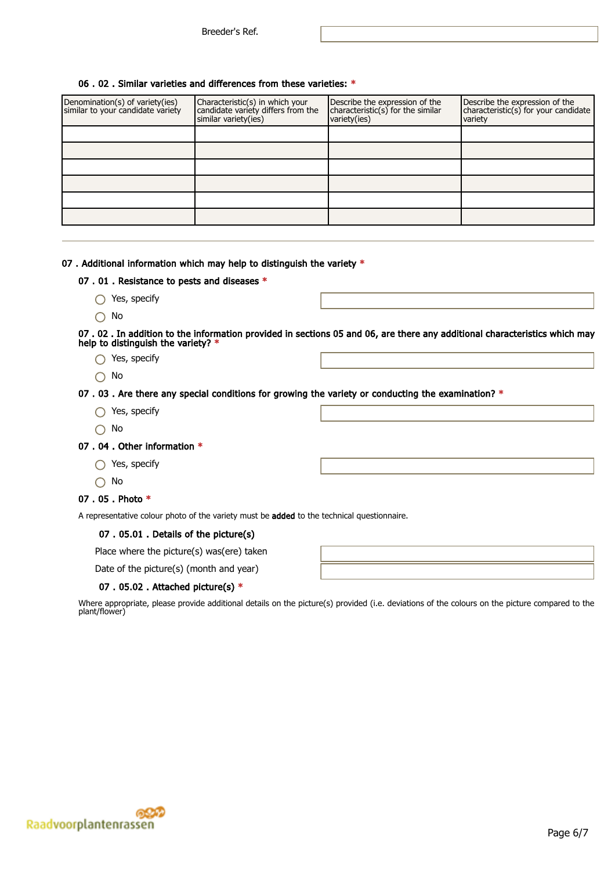#### 06 . 02 . Similar varieties and differences from these varieties: \*

| Denomination(s) of variety(ies)<br>similar to your candidate variety | Characteristic(s) in which your<br>candidate variety differs from the<br>similar variety(ies) | Describe the expression of the<br>characteristic(s) for the similar<br>variety(ies) | Describe the expression of the<br>characteristic(s) for your candidate<br>variety |
|----------------------------------------------------------------------|-----------------------------------------------------------------------------------------------|-------------------------------------------------------------------------------------|-----------------------------------------------------------------------------------|
|                                                                      |                                                                                               |                                                                                     |                                                                                   |
|                                                                      |                                                                                               |                                                                                     |                                                                                   |
|                                                                      |                                                                                               |                                                                                     |                                                                                   |
|                                                                      |                                                                                               |                                                                                     |                                                                                   |
|                                                                      |                                                                                               |                                                                                     |                                                                                   |
|                                                                      |                                                                                               |                                                                                     |                                                                                   |

#### 07. Additional information which may help to distinguish the variety \*

#### 07 . 01 . Resistance to pests and diseases \*

- ◯ Yes, specify
- No

07 . 02 . In addition to the information provided in sections 05 and 06, are there any additional characteristics which may help to distinguish the variety? \*

- ◯ Yes, specify
- No

07 . 03 . Are there any special conditions for growing the variety or conducting the examination?  $*$ 

- ◯ Yes, specify
- $\bigcap$  No

#### 07 . 04 . Other information \*

- ◯ Yes, specify
- No

#### 07 . 05 . Photo \*

A representative colour photo of the variety must be added to the technical questionnaire.

#### 07 . 05.01 . Details of the picture(s)

Place where the picture(s) was(ere) taken

Date of the picture(s) (month and year)

#### 07 . 05.02 . Attached picture(s) \*

Where appropriate, please provide additional details on the picture(s) provided (i.e. deviations of the colours on the picture compared to the plant/flower)